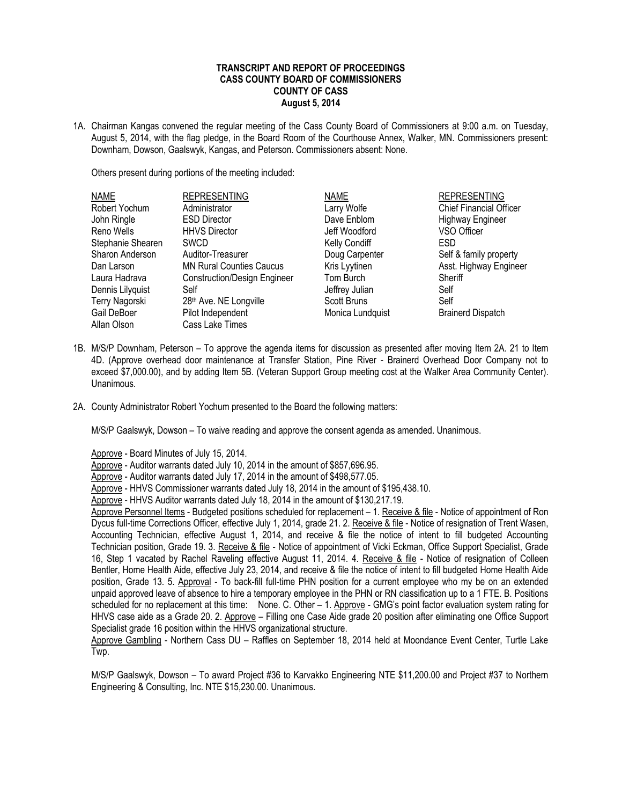## **TRANSCRIPT AND REPORT OF PROCEEDINGS CASS COUNTY BOARD OF COMMISSIONERS COUNTY OF CASS August 5, 2014**

1A. Chairman Kangas convened the regular meeting of the Cass County Board of Commissioners at 9:00 a.m. on Tuesday, August 5, 2014, with the flag pledge, in the Board Room of the Courthouse Annex, Walker, MN. Commissioners present: Downham, Dowson, Gaalswyk, Kangas, and Peterson. Commissioners absent: None.

Others present during portions of the meeting included:

| <b>NAME</b>       | <b>REPRESENTING</b>                 | <b>NAME</b>      | <b>REPRESENTING</b>            |
|-------------------|-------------------------------------|------------------|--------------------------------|
| Robert Yochum     | Administrator                       | Larry Wolfe      | <b>Chief Financial Officer</b> |
| John Ringle       | <b>ESD Director</b>                 | Dave Enblom      | <b>Highway Engineer</b>        |
| Reno Wells        | <b>HHVS Director</b>                | Jeff Woodford    | VSO Officer                    |
| Stephanie Shearen | <b>SWCD</b>                         | Kelly Condiff    | <b>ESD</b>                     |
| Sharon Anderson   | Auditor-Treasurer                   | Doug Carpenter   | Self & family property         |
| Dan Larson        | <b>MN Rural Counties Caucus</b>     | Kris Lyytinen    | Asst. Highway Engineer         |
| Laura Hadrava     | <b>Construction/Design Engineer</b> | Tom Burch        | Sheriff                        |
| Dennis Lilyquist  | Self                                | Jeffrey Julian   | Self                           |
| Terry Nagorski    | 28th Ave. NE Longville              | Scott Bruns      | Self                           |
| Gail DeBoer       | Pilot Independent                   | Monica Lundquist | <b>Brainerd Dispatch</b>       |
| Allan Olson       | Cass Lake Times                     |                  |                                |

- 1B. M/S/P Downham, Peterson To approve the agenda items for discussion as presented after moving Item 2A. 21 to Item 4D. (Approve overhead door maintenance at Transfer Station, Pine River - Brainerd Overhead Door Company not to exceed \$7,000.00), and by adding Item 5B. (Veteran Support Group meeting cost at the Walker Area Community Center). Unanimous.
- 2A. County Administrator Robert Yochum presented to the Board the following matters:

M/S/P Gaalswyk, Dowson – To waive reading and approve the consent agenda as amended. Unanimous.

Approve - Board Minutes of July 15, 2014.

Approve - Auditor warrants dated July 10, 2014 in the amount of \$857,696.95.

Approve - Auditor warrants dated July 17, 2014 in the amount of \$498,577.05.

Approve - HHVS Commissioner warrants dated July 18, 2014 in the amount of \$195,438.10.

Approve - HHVS Auditor warrants dated July 18, 2014 in the amount of \$130,217.19.

Approve Personnel Items - Budgeted positions scheduled for replacement – 1. Receive & file - Notice of appointment of Ron Dycus full-time Corrections Officer, effective July 1, 2014, grade 21. 2. Receive & file - Notice of resignation of Trent Wasen, Accounting Technician, effective August 1, 2014, and receive & file the notice of intent to fill budgeted Accounting Technician position, Grade 19. 3. Receive & file - Notice of appointment of Vicki Eckman, Office Support Specialist, Grade 16, Step 1 vacated by Rachel Raveling effective August 11, 2014. 4. Receive & file - Notice of resignation of Colleen Bentler, Home Health Aide, effective July 23, 2014, and receive & file the notice of intent to fill budgeted Home Health Aide position, Grade 13. 5. Approval - To back-fill full-time PHN position for a current employee who my be on an extended unpaid approved leave of absence to hire a temporary employee in the PHN or RN classification up to a 1 FTE. B. Positions scheduled for no replacement at this time: None. C. Other – 1. Approve - GMG's point factor evaluation system rating for HHVS case aide as a Grade 20. 2. Approve – Filling one Case Aide grade 20 position after eliminating one Office Support Specialist grade 16 position within the HHVS organizational structure.

Approve Gambling - Northern Cass DU – Raffles on September 18, 2014 held at Moondance Event Center, Turtle Lake Twp.

M/S/P Gaalswyk, Dowson – To award Project #36 to Karvakko Engineering NTE \$11,200.00 and Project #37 to Northern Engineering & Consulting, Inc. NTE \$15,230.00. Unanimous.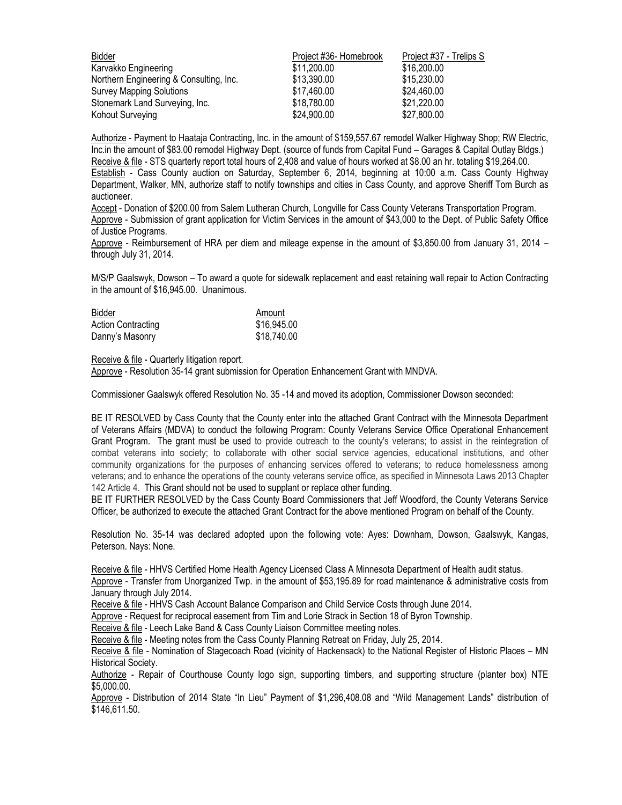| Bidder                                  | Project #36- Homebrook | Project #37 - Trelips S |
|-----------------------------------------|------------------------|-------------------------|
| Karvakko Engineering                    | \$11,200.00            | \$16,200.00             |
| Northern Engineering & Consulting, Inc. | \$13,390.00            | \$15,230.00             |
| <b>Survey Mapping Solutions</b>         | \$17.460.00            | \$24,460.00             |
| Stonemark Land Surveying, Inc.          | \$18,780.00            | \$21,220.00             |
| Kohout Surveying                        | \$24,900.00            | \$27,800.00             |

Authorize - Payment to Haataja Contracting, Inc. in the amount of \$159,557.67 remodel Walker Highway Shop; RW Electric, Inc.in the amount of \$83.00 remodel Highway Dept. (source of funds from Capital Fund – Garages & Capital Outlay Bldgs.) Receive & file - STS quarterly report total hours of 2,408 and value of hours worked at \$8.00 an hr. totaling \$19,264.00. Establish - Cass County auction on Saturday, September 6, 2014, beginning at 10:00 a.m. Cass County Highway Department, Walker, MN, authorize staff to notify townships and cities in Cass County, and approve Sheriff Tom Burch as auctioneer.

Accept - Donation of \$200.00 from Salem Lutheran Church, Longville for Cass County Veterans Transportation Program. Approve - Submission of grant application for Victim Services in the amount of \$43,000 to the Dept. of Public Safety Office of Justice Programs.

Approve - Reimbursement of HRA per diem and mileage expense in the amount of \$3,850.00 from January 31, 2014 – through July 31, 2014.

M/S/P Gaalswyk, Dowson – To award a quote for sidewalk replacement and east retaining wall repair to Action Contracting in the amount of \$16,945.00. Unanimous.

| Bidder                    | Amount      |
|---------------------------|-------------|
| <b>Action Contracting</b> | \$16,945.00 |
| Danny's Masonry           | \$18,740.00 |

#### Receive & file - Quarterly litigation report.

Approve - Resolution 35-14 grant submission for Operation Enhancement Grant with MNDVA.

Commissioner Gaalswyk offered Resolution No. 35 -14 and moved its adoption, Commissioner Dowson seconded:

BE IT RESOLVED by Cass County that the County enter into the attached Grant Contract with the Minnesota Department of Veterans Affairs (MDVA) to conduct the following Program: County Veterans Service Office Operational Enhancement Grant Program. The grant must be used to provide outreach to the county's veterans; to assist in the reintegration of combat veterans into society; to collaborate with other social service agencies, educational institutions, and other community organizations for the purposes of enhancing services offered to veterans; to reduce homelessness among veterans; and to enhance the operations of the county veterans service office, as specified in Minnesota Laws 2013 Chapter 142 Article 4. This Grant should not be used to supplant or replace other funding.

BE IT FURTHER RESOLVED by the Cass County Board Commissioners that Jeff Woodford, the County Veterans Service Officer, be authorized to execute the attached Grant Contract for the above mentioned Program on behalf of the County.

Resolution No. 35-14 was declared adopted upon the following vote: Ayes: Downham, Dowson, Gaalswyk, Kangas, Peterson. Nays: None.

Receive & file - HHVS Certified Home Health Agency Licensed Class A Minnesota Department of Health audit status.

Approve - Transfer from Unorganized Twp. in the amount of \$53,195.89 for road maintenance & administrative costs from January through July 2014.

Receive & file - HHVS Cash Account Balance Comparison and Child Service Costs through June 2014.

Approve - Request for reciprocal easement from Tim and Lorie Strack in Section 18 of Byron Township.

Receive & file - Leech Lake Band & Cass County Liaison Committee meeting notes.

Receive & file - Meeting notes from the Cass County Planning Retreat on Friday, July 25, 2014.

Receive & file - Nomination of Stagecoach Road (vicinity of Hackensack) to the National Register of Historic Places – MN Historical Society.

Authorize - Repair of Courthouse County logo sign, supporting timbers, and supporting structure (planter box) NTE \$5,000.00.

Approve - Distribution of 2014 State "In Lieu" Payment of \$1,296,408.08 and "Wild Management Lands" distribution of \$146,611.50.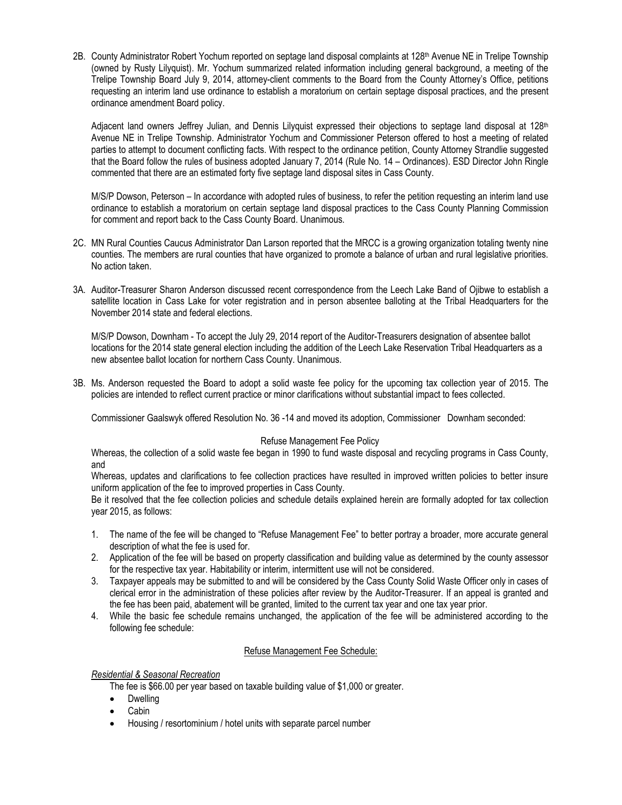2B. County Administrator Robert Yochum reported on septage land disposal complaints at 128th Avenue NE in Trelipe Township (owned by Rusty Lilyquist). Mr. Yochum summarized related information including general background, a meeting of the Trelipe Township Board July 9, 2014, attorney-client comments to the Board from the County Attorney's Office, petitions requesting an interim land use ordinance to establish a moratorium on certain septage disposal practices, and the present ordinance amendment Board policy.

Adjacent land owners Jeffrey Julian, and Dennis Lilyquist expressed their objections to septage land disposal at 128<sup>th</sup> Avenue NE in Trelipe Township. Administrator Yochum and Commissioner Peterson offered to host a meeting of related parties to attempt to document conflicting facts. With respect to the ordinance petition, County Attorney Strandlie suggested that the Board follow the rules of business adopted January 7, 2014 (Rule No. 14 – Ordinances). ESD Director John Ringle commented that there are an estimated forty five septage land disposal sites in Cass County.

M/S/P Dowson, Peterson – In accordance with adopted rules of business, to refer the petition requesting an interim land use ordinance to establish a moratorium on certain septage land disposal practices to the Cass County Planning Commission for comment and report back to the Cass County Board. Unanimous.

- 2C. MN Rural Counties Caucus Administrator Dan Larson reported that the MRCC is a growing organization totaling twenty nine counties. The members are rural counties that have organized to promote a balance of urban and rural legislative priorities. No action taken.
- 3A. Auditor-Treasurer Sharon Anderson discussed recent correspondence from the Leech Lake Band of Ojibwe to establish a satellite location in Cass Lake for voter registration and in person absentee balloting at the Tribal Headquarters for the November 2014 state and federal elections.

M/S/P Dowson, Downham - To accept the July 29, 2014 report of the Auditor-Treasurers designation of absentee ballot locations for the 2014 state general election including the addition of the Leech Lake Reservation Tribal Headquarters as a new absentee ballot location for northern Cass County. Unanimous.

3B. Ms. Anderson requested the Board to adopt a solid waste fee policy for the upcoming tax collection year of 2015. The policies are intended to reflect current practice or minor clarifications without substantial impact to fees collected.

Commissioner Gaalswyk offered Resolution No. 36 -14 and moved its adoption, Commissioner Downham seconded:

# Refuse Management Fee Policy

Whereas, the collection of a solid waste fee began in 1990 to fund waste disposal and recycling programs in Cass County, and

Whereas, updates and clarifications to fee collection practices have resulted in improved written policies to better insure uniform application of the fee to improved properties in Cass County.

Be it resolved that the fee collection policies and schedule details explained herein are formally adopted for tax collection year 2015, as follows:

- 1. The name of the fee will be changed to "Refuse Management Fee" to better portray a broader, more accurate general description of what the fee is used for.
- 2. Application of the fee will be based on property classification and building value as determined by the county assessor for the respective tax year. Habitability or interim, intermittent use will not be considered.
- 3. Taxpayer appeals may be submitted to and will be considered by the Cass County Solid Waste Officer only in cases of clerical error in the administration of these policies after review by the Auditor-Treasurer. If an appeal is granted and the fee has been paid, abatement will be granted, limited to the current tax year and one tax year prior.
- 4. While the basic fee schedule remains unchanged, the application of the fee will be administered according to the following fee schedule:

# Refuse Management Fee Schedule:

# *Residential & Seasonal Recreation*

The fee is \$66.00 per year based on taxable building value of \$1,000 or greater.

- Dwelling
- Cabin
- Housing / resortominium / hotel units with separate parcel number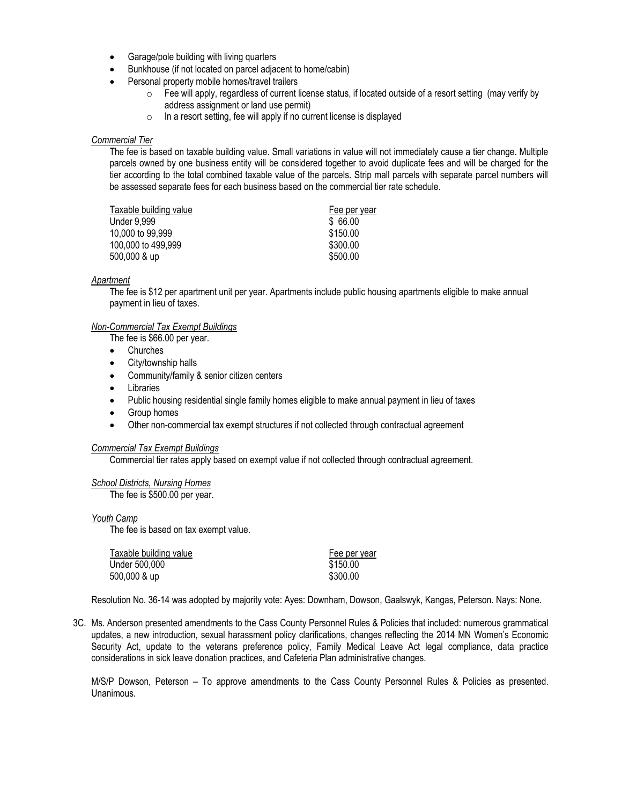- Garage/pole building with living quarters
- Bunkhouse (if not located on parcel adjacent to home/cabin)
- Personal property mobile homes/travel trailers
	- $\circ$  Fee will apply, regardless of current license status, if located outside of a resort setting (may verify by address assignment or land use permit)
	- o In a resort setting, fee will apply if no current license is displayed

#### *Commercial Tier*

The fee is based on taxable building value. Small variations in value will not immediately cause a tier change. Multiple parcels owned by one business entity will be considered together to avoid duplicate fees and will be charged for the tier according to the total combined taxable value of the parcels. Strip mall parcels with separate parcel numbers will be assessed separate fees for each business based on the commercial tier rate schedule.

| Taxable building value | Fee per year |
|------------------------|--------------|
| <b>Under 9.999</b>     | \$66.00      |
| 10,000 to 99,999       | \$150.00     |
| 100,000 to 499,999     | \$300.00     |
| 500,000 & up           | \$500.00     |

#### *Apartment*

The fee is \$12 per apartment unit per year. Apartments include public housing apartments eligible to make annual payment in lieu of taxes.

#### *Non-Commercial Tax Exempt Buildings*

The fee is \$66.00 per year.

- Churches
- City/township halls
- Community/family & senior citizen centers
- Libraries
- Public housing residential single family homes eligible to make annual payment in lieu of taxes
- Group homes
- Other non-commercial tax exempt structures if not collected through contractual agreement

## *Commercial Tax Exempt Buildings*

Commercial tier rates apply based on exempt value if not collected through contractual agreement.

#### *School Districts, Nursing Homes*

The fee is \$500.00 per year.

#### *Youth Camp*

The fee is based on tax exempt value.

| Taxable building value | Fee per year |
|------------------------|--------------|
| Under 500.000          | \$150.00     |
| 500,000 & up           | \$300.00     |

Resolution No. 36-14 was adopted by majority vote: Ayes: Downham, Dowson, Gaalswyk, Kangas, Peterson. Nays: None.

3C. Ms. Anderson presented amendments to the Cass County Personnel Rules & Policies that included: numerous grammatical updates, a new introduction, sexual harassment policy clarifications, changes reflecting the 2014 MN Women's Economic Security Act, update to the veterans preference policy, Family Medical Leave Act legal compliance, data practice considerations in sick leave donation practices, and Cafeteria Plan administrative changes.

M/S/P Dowson, Peterson – To approve amendments to the Cass County Personnel Rules & Policies as presented. Unanimous.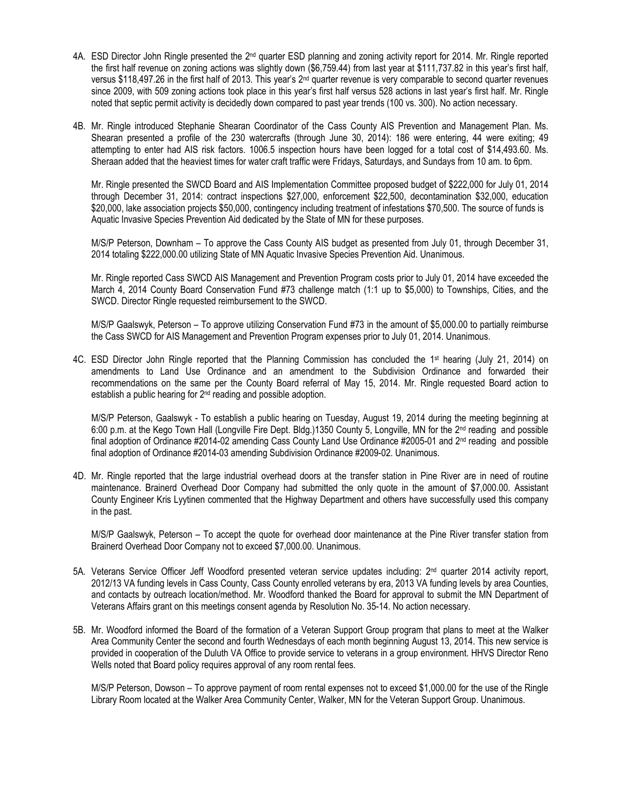- 4A. ESD Director John Ringle presented the 2<sup>nd</sup> quarter ESD planning and zoning activity report for 2014. Mr. Ringle reported the first half revenue on zoning actions was slightly down (\$6,759.44) from last year at \$111,737.82 in this year's first half, versus \$118,497.26 in the first half of 2013. This year's 2<sup>nd</sup> quarter revenue is very comparable to second quarter revenues since 2009, with 509 zoning actions took place in this year's first half versus 528 actions in last year's first half. Mr. Ringle noted that septic permit activity is decidedly down compared to past year trends (100 vs. 300). No action necessary.
- 4B. Mr. Ringle introduced Stephanie Shearan Coordinator of the Cass County AIS Prevention and Management Plan. Ms. Shearan presented a profile of the 230 watercrafts (through June 30, 2014): 186 were entering, 44 were exiting; 49 attempting to enter had AIS risk factors. 1006.5 inspection hours have been logged for a total cost of \$14,493.60. Ms. Sheraan added that the heaviest times for water craft traffic were Fridays, Saturdays, and Sundays from 10 am. to 6pm.

Mr. Ringle presented the SWCD Board and AIS Implementation Committee proposed budget of \$222,000 for July 01, 2014 through December 31, 2014: contract inspections \$27,000, enforcement \$22,500, decontamination \$32,000, education \$20,000, lake association projects \$50,000, contingency including treatment of infestations \$70,500. The source of funds is Aquatic Invasive Species Prevention Aid dedicated by the State of MN for these purposes.

M/S/P Peterson, Downham – To approve the Cass County AIS budget as presented from July 01, through December 31, 2014 totaling \$222,000.00 utilizing State of MN Aquatic Invasive Species Prevention Aid. Unanimous.

Mr. Ringle reported Cass SWCD AIS Management and Prevention Program costs prior to July 01, 2014 have exceeded the March 4, 2014 County Board Conservation Fund #73 challenge match (1:1 up to \$5,000) to Townships, Cities, and the SWCD. Director Ringle requested reimbursement to the SWCD.

M/S/P Gaalswyk, Peterson – To approve utilizing Conservation Fund #73 in the amount of \$5,000.00 to partially reimburse the Cass SWCD for AIS Management and Prevention Program expenses prior to July 01, 2014. Unanimous.

4C. ESD Director John Ringle reported that the Planning Commission has concluded the 1<sup>st</sup> hearing (July 21, 2014) on amendments to Land Use Ordinance and an amendment to the Subdivision Ordinance and forwarded their recommendations on the same per the County Board referral of May 15, 2014. Mr. Ringle requested Board action to establish a public hearing for 2<sup>nd</sup> reading and possible adoption.

M/S/P Peterson, Gaalswyk - To establish a public hearing on Tuesday, August 19, 2014 during the meeting beginning at 6:00 p.m. at the Kego Town Hall (Longville Fire Dept. Bldg.)1350 County 5, Longville, MN for the 2nd reading and possible final adoption of Ordinance #2014-02 amending Cass County Land Use Ordinance #2005-01 and 2 nd reading and possible final adoption of Ordinance #2014-03 amending Subdivision Ordinance #2009-02. Unanimous.

4D. Mr. Ringle reported that the large industrial overhead doors at the transfer station in Pine River are in need of routine maintenance. Brainerd Overhead Door Company had submitted the only quote in the amount of \$7,000.00. Assistant County Engineer Kris Lyytinen commented that the Highway Department and others have successfully used this company in the past.

M/S/P Gaalswyk, Peterson – To accept the quote for overhead door maintenance at the Pine River transfer station from Brainerd Overhead Door Company not to exceed \$7,000.00. Unanimous.

- 5A. Veterans Service Officer Jeff Woodford presented veteran service updates including: 2<sup>nd</sup> quarter 2014 activity report, 2012/13 VA funding levels in Cass County, Cass County enrolled veterans by era, 2013 VA funding levels by area Counties, and contacts by outreach location/method. Mr. Woodford thanked the Board for approval to submit the MN Department of Veterans Affairs grant on this meetings consent agenda by Resolution No. 35-14. No action necessary.
- 5B. Mr. Woodford informed the Board of the formation of a Veteran Support Group program that plans to meet at the Walker Area Community Center the second and fourth Wednesdays of each month beginning August 13, 2014. This new service is provided in cooperation of the Duluth VA Office to provide service to veterans in a group environment. HHVS Director Reno Wells noted that Board policy requires approval of any room rental fees.

M/S/P Peterson, Dowson – To approve payment of room rental expenses not to exceed \$1,000.00 for the use of the Ringle Library Room located at the Walker Area Community Center, Walker, MN for the Veteran Support Group. Unanimous.